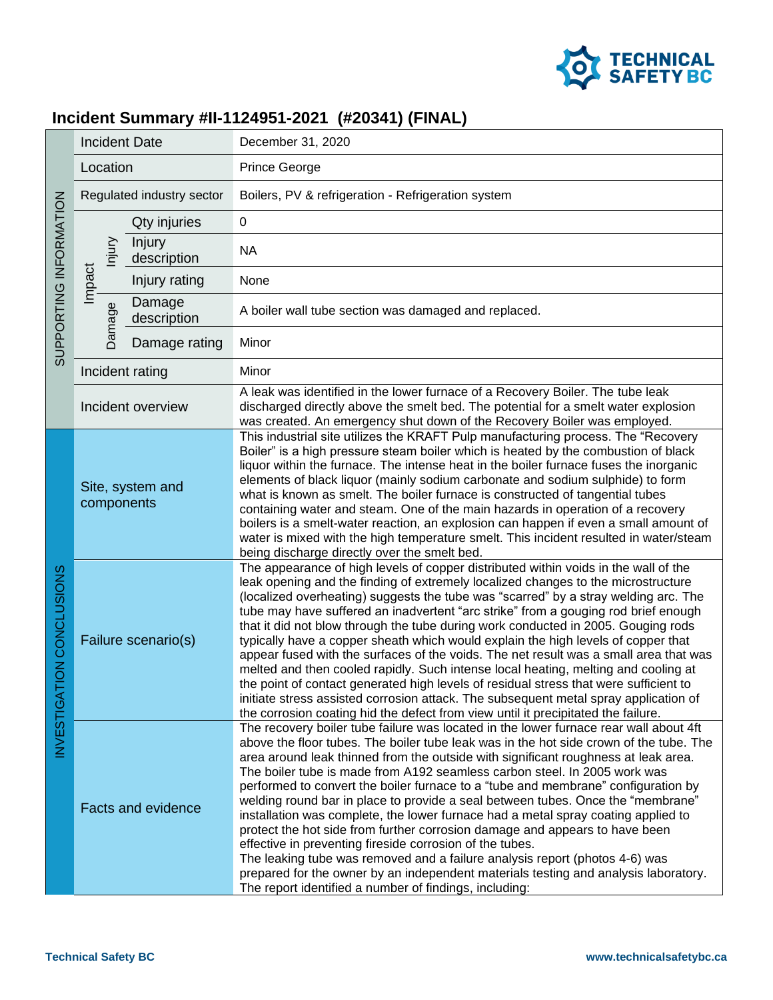

## **Incident Summary #II-1124951-2021 (#20341) (FINAL)**

| SUPPORTING INFORMATION       | <b>Incident Date</b>           |                       | December 31, 2020                                                                                                                                                                                                                                                                                                                                                                                                                                                                                                                                                                                                                                                                                                                                                                                                                                                                                                                                                                          |
|------------------------------|--------------------------------|-----------------------|--------------------------------------------------------------------------------------------------------------------------------------------------------------------------------------------------------------------------------------------------------------------------------------------------------------------------------------------------------------------------------------------------------------------------------------------------------------------------------------------------------------------------------------------------------------------------------------------------------------------------------------------------------------------------------------------------------------------------------------------------------------------------------------------------------------------------------------------------------------------------------------------------------------------------------------------------------------------------------------------|
|                              | Location                       |                       | <b>Prince George</b>                                                                                                                                                                                                                                                                                                                                                                                                                                                                                                                                                                                                                                                                                                                                                                                                                                                                                                                                                                       |
|                              | Regulated industry sector      |                       | Boilers, PV & refrigeration - Refrigeration system                                                                                                                                                                                                                                                                                                                                                                                                                                                                                                                                                                                                                                                                                                                                                                                                                                                                                                                                         |
|                              | njury<br>Impact<br>Damage      | Qty injuries          | $\mathbf 0$                                                                                                                                                                                                                                                                                                                                                                                                                                                                                                                                                                                                                                                                                                                                                                                                                                                                                                                                                                                |
|                              |                                | Injury<br>description | <b>NA</b>                                                                                                                                                                                                                                                                                                                                                                                                                                                                                                                                                                                                                                                                                                                                                                                                                                                                                                                                                                                  |
|                              |                                | Injury rating         | None                                                                                                                                                                                                                                                                                                                                                                                                                                                                                                                                                                                                                                                                                                                                                                                                                                                                                                                                                                                       |
|                              |                                | Damage<br>description | A boiler wall tube section was damaged and replaced.                                                                                                                                                                                                                                                                                                                                                                                                                                                                                                                                                                                                                                                                                                                                                                                                                                                                                                                                       |
|                              |                                | Damage rating         | Minor                                                                                                                                                                                                                                                                                                                                                                                                                                                                                                                                                                                                                                                                                                                                                                                                                                                                                                                                                                                      |
|                              | Incident rating                |                       | Minor                                                                                                                                                                                                                                                                                                                                                                                                                                                                                                                                                                                                                                                                                                                                                                                                                                                                                                                                                                                      |
|                              | Incident overview              |                       | A leak was identified in the lower furnace of a Recovery Boiler. The tube leak<br>discharged directly above the smelt bed. The potential for a smelt water explosion<br>was created. An emergency shut down of the Recovery Boiler was employed.                                                                                                                                                                                                                                                                                                                                                                                                                                                                                                                                                                                                                                                                                                                                           |
| TION CONCLUSIONS<br>NVESTIGA | Site, system and<br>components |                       | This industrial site utilizes the KRAFT Pulp manufacturing process. The "Recovery<br>Boiler" is a high pressure steam boiler which is heated by the combustion of black<br>liquor within the furnace. The intense heat in the boiler furnace fuses the inorganic<br>elements of black liquor (mainly sodium carbonate and sodium sulphide) to form<br>what is known as smelt. The boiler furnace is constructed of tangential tubes<br>containing water and steam. One of the main hazards in operation of a recovery<br>boilers is a smelt-water reaction, an explosion can happen if even a small amount of<br>water is mixed with the high temperature smelt. This incident resulted in water/steam<br>being discharge directly over the smelt bed.                                                                                                                                                                                                                                     |
|                              | Failure scenario(s)            |                       | The appearance of high levels of copper distributed within voids in the wall of the<br>leak opening and the finding of extremely localized changes to the microstructure<br>(localized overheating) suggests the tube was "scarred" by a stray welding arc. The<br>tube may have suffered an inadvertent "arc strike" from a gouging rod brief enough<br>that it did not blow through the tube during work conducted in 2005. Gouging rods<br>typically have a copper sheath which would explain the high levels of copper that<br>appear fused with the surfaces of the voids. The net result was a small area that was<br>melted and then cooled rapidly. Such intense local heating, melting and cooling at<br>the point of contact generated high levels of residual stress that were sufficient to<br>initiate stress assisted corrosion attack. The subsequent metal spray application of<br>the corrosion coating hid the defect from view until it precipitated the failure.       |
|                              | <b>Facts and evidence</b>      |                       | The recovery boiler tube failure was located in the lower furnace rear wall about 4ft<br>above the floor tubes. The boiler tube leak was in the hot side crown of the tube. The<br>area around leak thinned from the outside with significant roughness at leak area.<br>The boiler tube is made from A192 seamless carbon steel. In 2005 work was<br>performed to convert the boiler furnace to a "tube and membrane" configuration by<br>welding round bar in place to provide a seal between tubes. Once the "membrane"<br>installation was complete, the lower furnace had a metal spray coating applied to<br>protect the hot side from further corrosion damage and appears to have been<br>effective in preventing fireside corrosion of the tubes.<br>The leaking tube was removed and a failure analysis report (photos 4-6) was<br>prepared for the owner by an independent materials testing and analysis laboratory.<br>The report identified a number of findings, including: |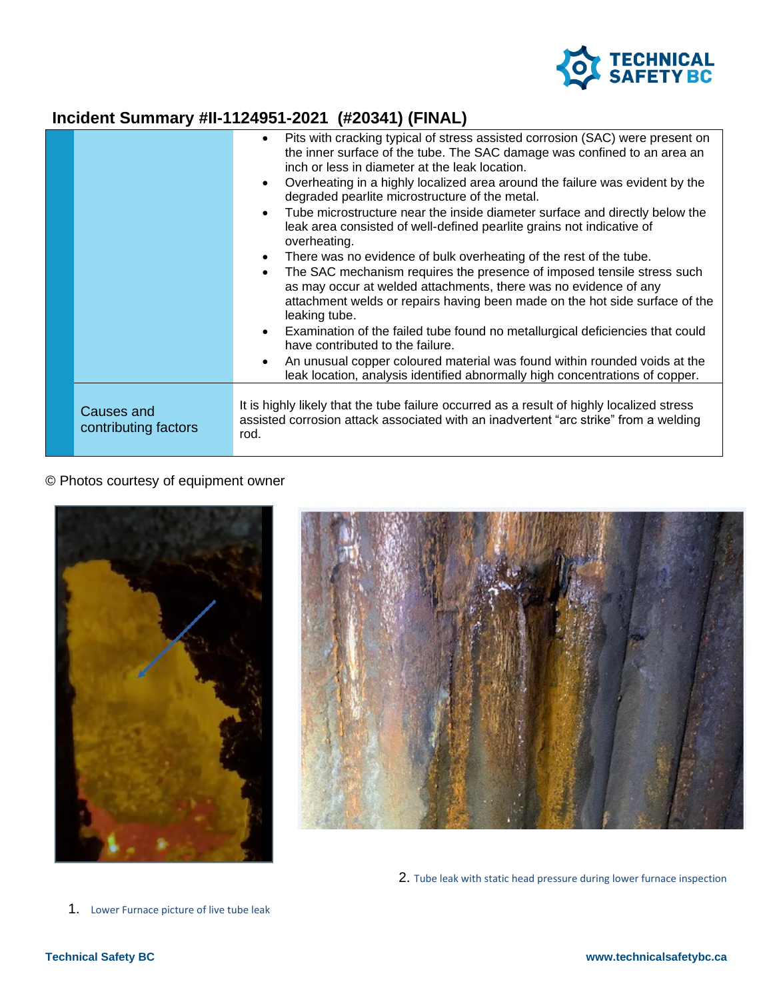

## **Incident Summary #II-1124951-2021 (#20341) (FINAL)**

|                                    | Pits with cracking typical of stress assisted corrosion (SAC) were present on<br>$\bullet$<br>the inner surface of the tube. The SAC damage was confined to an area an<br>inch or less in diameter at the leak location.<br>Overheating in a highly localized area around the failure was evident by the<br>$\bullet$<br>degraded pearlite microstructure of the metal.<br>Tube microstructure near the inside diameter surface and directly below the<br>leak area consisted of well-defined pearlite grains not indicative of<br>overheating.<br>There was no evidence of bulk overheating of the rest of the tube.<br>The SAC mechanism requires the presence of imposed tensile stress such<br>$\bullet$<br>as may occur at welded attachments, there was no evidence of any<br>attachment welds or repairs having been made on the hot side surface of the<br>leaking tube.<br>Examination of the failed tube found no metallurgical deficiencies that could<br>have contributed to the failure.<br>An unusual copper coloured material was found within rounded voids at the<br>$\bullet$<br>leak location, analysis identified abnormally high concentrations of copper. |
|------------------------------------|---------------------------------------------------------------------------------------------------------------------------------------------------------------------------------------------------------------------------------------------------------------------------------------------------------------------------------------------------------------------------------------------------------------------------------------------------------------------------------------------------------------------------------------------------------------------------------------------------------------------------------------------------------------------------------------------------------------------------------------------------------------------------------------------------------------------------------------------------------------------------------------------------------------------------------------------------------------------------------------------------------------------------------------------------------------------------------------------------------------------------------------------------------------------------------|
| Causes and<br>contributing factors | It is highly likely that the tube failure occurred as a result of highly localized stress<br>assisted corrosion attack associated with an inadvertent "arc strike" from a welding<br>rod.                                                                                                                                                                                                                                                                                                                                                                                                                                                                                                                                                                                                                                                                                                                                                                                                                                                                                                                                                                                       |

## © Photos courtesy of equipment owner





2. Tube leak with static head pressure during lower furnace inspection

1. Lower Furnace picture of live tube leak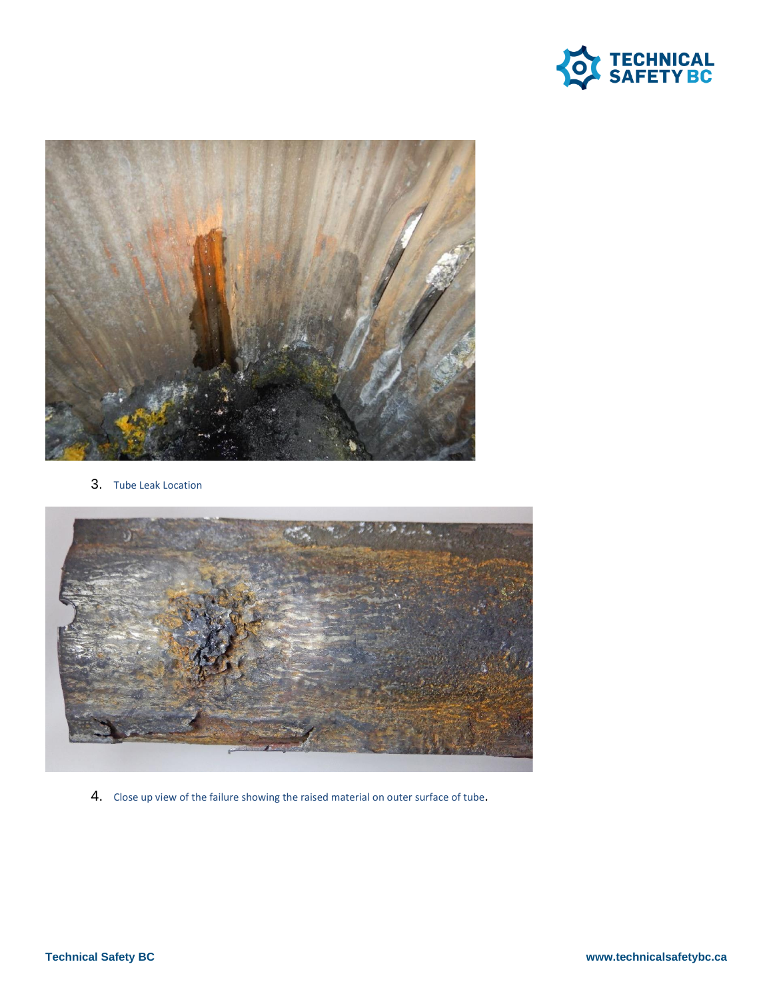



3. Tube Leak Location



4. Close up view of the failure showing the raised material on outer surface of tube.